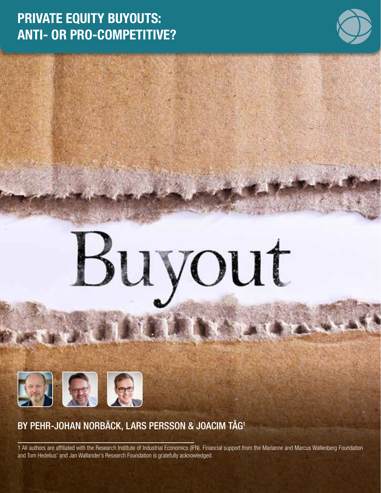# PRIVATE EQUITY BUYOUTS: ANTI- OR PRO-COMPETITIVE?



# suvout

## BY PEHR-JOHAN NORBÄCK, LARS PERSSON & JOACIM TÅG1

中国民

1 All authors are affiliated with the Research Institute of Industrial Economics (IFN). Financial support from the Marianne and Marcus Wallenberg Foundation and Tom Hedelius' and Jan Wallander's Research Foundation is gratefully acknowledged.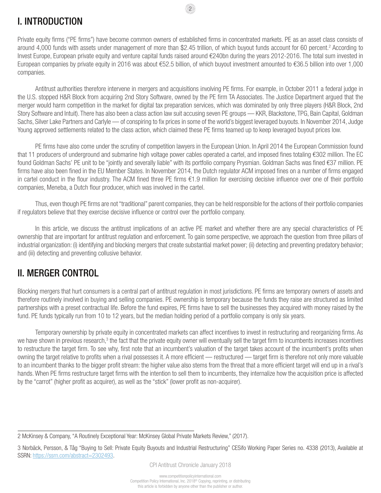### I. INTRODUCTION

Private equity firms ("PE firms") have become common owners of established firms in concentrated markets. PE as an asset class consists of around 4,000 funds with assets under management of more than \$2.45 trillion, of which buyout funds account for 60 percent.<sup>2</sup> According to Invest Europe, European private equity and venture capital funds raised around €240bn during the years 2012-2016. The total sum invested in European companies by private equity in 2016 was about €52.5 billion, of which buyout investment amounted to €36.5 billion into over 1,000 companies.

2

Antitrust authorities therefore intervene in mergers and acquisitions involving PE firms. For example, in October 2011 a federal judge in the U.S. stopped H&R Block from acquiring 2nd Story Software, owned by the PE firm TA Associates. The Justice Department argued that the merger would harm competition in the market for digital tax preparation services, which was dominated by only three players (H&R Block, 2nd Story Software and Intuit). There has also been a class action law suit accusing seven PE groups — KKR, Blackstone, TPG, Bain Capital, Goldman Sachs, Silver Lake Partners and Carlyle — of conspiring to fix prices in some of the world's biggest leveraged buyouts. In November 2014, Judge Young approved settlements related to the class action, which claimed these PE firms teamed up to keep leveraged buyout prices low.

PE firms have also come under the scrutiny of competition lawyers in the European Union. In April 2014 the European Commission found that 11 producers of underground and submarine high voltage power cables operated a cartel, and imposed fines totaling €302 million. The EC found Goldman Sachs' PE unit to be "jointly and severally liable" with its portfolio company Prysmian. Goldman Sachs was fined €37 million. PE firms have also been fined in the EU Member States. In November 2014, the Dutch regulator ACM imposed fines on a number of firms engaged in cartel conduct in the flour industry. The ACM fined three PE firms €1.9 million for exercising decisive influence over one of their portfolio companies, Meneba, a Dutch flour producer, which was involved in the cartel.

Thus, even though PE firms are not "traditional" parent companies, they can be held responsible for the actions of their portfolio companies if regulators believe that they exercise decisive influence or control over the portfolio company.

In this article, we discuss the antitrust implications of an active PE market and whether there are any special characteristics of PE ownership that are important for antitrust regulation and enforcement. To gain some perspective, we approach the question from three pillars of industrial organization: (i) identifying and blocking mergers that create substantial market power; (ii) detecting and preventing predatory behavior; and (iii) detecting and preventing collusive behavior.

### II. MERGER CONTROL

Blocking mergers that hurt consumers is a central part of antitrust regulation in most jurisdictions. PE firms are temporary owners of assets and therefore routinely involved in buying and selling companies. PE ownership is temporary because the funds they raise are structured as limited partnerships with a preset contractual life. Before the fund expires, PE firms have to sell the businesses they acquired with money raised by the fund. PE funds typically run from 10 to 12 years, but the median holding period of a portfolio company is only six years.

Temporary ownership by private equity in concentrated markets can affect incentives to invest in restructuring and reorganizing firms. As we have shown in previous research,<sup>3</sup> the fact that the private equity owner will eventually sell the target firm to incumbents increases incentives to restructure the target firm. To see why, first note that an incumbent's valuation of the target takes account of the incumbent's profits when owning the target relative to profits when a rival possesses it. A more efficient — restructured — target firm is therefore not only more valuable to an incumbent thanks to the bigger profit stream: the higher value also stems from the threat that a more efficient target will end up in a rival's hands. When PE firms restructure target firms with the intention to sell them to incumbents, they internalize how the acquisition price is affected by the "carrot" (higher profit as acquirer), as well as the "stick" (lower profit as non-acquirer).

<sup>2</sup> McKinsey & Company, "A Routinely Exceptional Year: McKinsey Global Private Markets Review," (2017).

<sup>3</sup> Norbäck, Persson, & Tåg "Buying to Sell: Private Equity Buyouts and Industrial Restructuring" CESifo Working Paper Series no. 4338 (2013), Available at SSRN: [https://ssrn.com/abstract=2302493.](https://ssrn.com/abstract=2302493)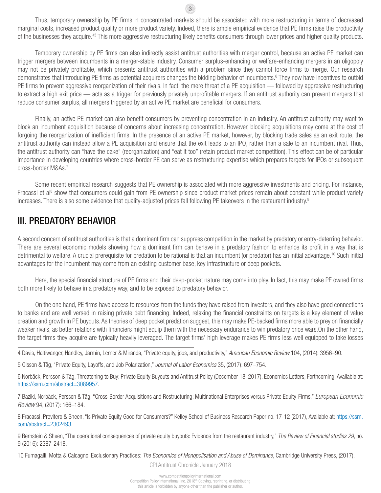Thus, temporary ownership by PE firms in concentrated markets should be associated with more restructuring in terms of decreased marginal costs, increased product quality or more product variety. Indeed, there is ample empirical evidence that PE firms raise the productivity of the businesses they acquire.<sup>45</sup> This more aggressive restructuring likely benefits consumers through lower prices and higher quality products.

3

Temporary ownership by PE firms can also indirectly assist antitrust authorities with merger control, because an active PE market can trigger mergers between incumbents in a merger-stable industry. Consumer surplus-enhancing or welfare-enhancing mergers in an oligopoly may not be privately profitable, which presents antitrust authorities with a problem since they cannot force firms to merge. Our research demonstrates that introducing PE firms as potential acquirers changes the bidding behavior of incumbents.<sup>6</sup> They now have incentives to outbid PE firms to prevent aggressive reorganization of their rivals. In fact, the mere threat of a PE acquisition — followed by aggressive restructuring to extract a high exit price — acts as a trigger for previously privately unprofitable mergers. If an antitrust authority can prevent mergers that reduce consumer surplus, all mergers triggered by an active PE market are beneficial for consumers.

Finally, an active PE market can also benefit consumers by preventing concentration in an industry. An antitrust authority may want to block an incumbent acquisition because of concerns about increasing concentration. However, blocking acquisitions may come at the cost of forgoing the reorganization of inefficient firms. In the presence of an active PE market, however, by blocking trade sales as an exit route, the antitrust authority can instead allow a PE acquisition and ensure that the exit leads to an IPO, rather than a sale to an incumbent rival. Thus, the antitrust authority can "have the cake" (reorganization) and "eat it too" (retain product market competition). This effect can be of particular importance in developing countries where cross-border PE can serve as restructuring expertise which prepares targets for IPOs or subsequent cross-border M&As.7

Some recent empirical research suggests that PE ownership is associated with more aggressive investments and pricing. For instance, Fracassi et al<sup>8</sup> show that consumers could gain from PE ownership since product market prices remain about constant while product variety increases. There is also some evidence that quality-adjusted prices fall following PE takeovers in the restaurant industry.<sup>9</sup>

### III. PREDATORY BEHAVIOR

A second concern of antitrust authorities is that a dominant firm can suppress competition in the market by predatory or entry-deterring behavior. There are several economic models showing how a dominant firm can behave in a predatory fashion to enhance its profit in a way that is detrimental to welfare. A crucial prerequisite for predation to be rational is that an incumbent (or predator) has an initial advantage.10 Such initial advantages for the incumbent may come from an existing customer base, key infrastructure or deep pockets.

Here, the special financial structure of PE firms and their deep-pocket nature may come into play. In fact, this may make PE owned firms both more likely to behave in a predatory way, and to be exposed to predatory behavior.

On the one hand, PE firms have access to resources from the funds they have raised from investors, and they also have good connections to banks and are well versed in raising private debt financing. Indeed, relaxing the financial constraints on targets is a key element of value creation and growth in PE buyouts. As theories of deep pocket predation suggest, this may make PE-backed firms more able to prey on financially weaker rivals, as better relations with financiers might equip them with the necessary endurance to win predatory price wars.On the other hand, the target firms they acquire are typically heavily leveraged. The target firms' high leverage makes PE firms less well equipped to take losses

4 Davis, Haltiwanger, Handley, Jarmin, Lerner & Miranda, "Private equity, jobs, and productivity," *American Economic Review* 104, (2014): 3956–90.

5 Olsson & Tåg, "Private Equity, Layoffs, and Job Polarization," *Journal of Labor Economics* 35, (2017): 697–754.

6 Norbäck, Persson & Tåg, Threatening to Buy: Private Equity Buyouts and Antitrust Policy (December 18, 2017). Economics Letters, Forthcoming. Available at: <https://ssrn.com/abstract=3089957>.

7 Baziki, Norbäck, Persson & Tåg, "[Cross-Border Acquisitions and Restructuring: Multinational Enterprises versus Privat](http://dx.doi.org/10.1016/j.euroecorev.2017.02.012)e Equity-Firms," *European Economic Review* 94, (2017): 166–184.

8 Fracassi, Previtero & Sheen, "Is Private Equity Good for Consumers?" Kelley School of Business Research Paper no. 17-12 (2017), Available at: https://ssrn. com/abstract=2302493.

9 Bernstein & Sheen, "The operational consequences of private equity buyouts: Evidence from the restaurant industry," *The Review of Financial studies 29*, no. 9 (2016): 2387-2418.

10 Fumagalli, Motta & Calcagno, Exclusionary Practices: *The Economics of Monopolisation and Abuse of Dominance*, Cambridge University Press, (2017).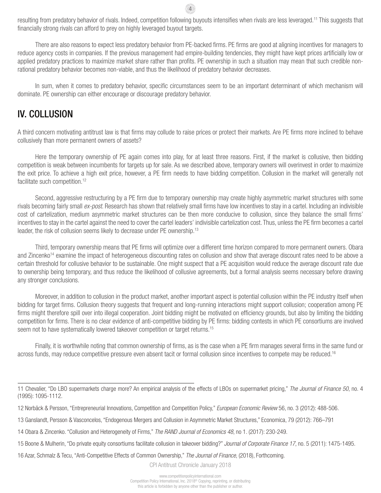resulting from predatory behavior of rivals. Indeed, competition following buyouts intensifies when rivals are less leveraged.11 This suggests that financially strong rivals can afford to prey on highly leveraged buyout targets.

4

There are also reasons to expect less predatory behavior from PE-backed firms. PE firms are good at aligning incentives for managers to reduce agency costs in companies. If the previous management had empire-building tendencies, they might have kept prices artificially low or applied predatory practices to maximize market share rather than profits. PE ownership in such a situation may mean that such credible nonrational predatory behavior becomes non-viable, and thus the likelihood of predatory behavior decreases.

In sum, when it comes to predatory behavior, specific circumstances seem to be an important determinant of which mechanism will dominate. PE ownership can either encourage or discourage predatory behavior.

### IV. COLLUSION

A third concern motivating antitrust law is that firms may collude to raise prices or protect their markets. Are PE firms more inclined to behave collusively than more permanent owners of assets?

Here the temporary ownership of PE again comes into play, for at least three reasons. First, if the market is collusive, then bidding competition is weak between incumbents for targets up for sale. As we described above, temporary owners will overinvest in order to maximize the exit price. To achieve a high exit price, however, a PE firm needs to have bidding competition. Collusion in the market will generally not facilitate such competition.<sup>12</sup>

Second, aggressive restructuring by a PE firm due to temporary ownership may create highly asymmetric market structures with some rivals becoming fairly small *ex-post*. Research has shown that relatively small firms have low incentives to stay in a cartel. Including an indivisible cost of cartelization, medium asymmetric market structures can be then more conducive to collusion, since they balance the small firms' incentives to stay in the cartel against the need to cover the cartel leaders' indivisible cartelization cost. Thus, unless the PE firm becomes a cartel leader, the risk of collusion seems likely to decrease under PE ownership.<sup>13</sup>

Third, temporary ownership means that PE firms will optimize over a different time horizon compared to more permanent owners. Obara and Zincenko<sup>14</sup> examine the impact of heterogeneous discounting rates on collusion and show that average discount rates need to be above a certain threshold for collusive behavior to be sustainable. One might suspect that a PE acquisition would reduce the average discount rate due to ownership being temporary, and thus reduce the likelihood of collusive agreements, but a formal analysis seems necessary before drawing any stronger conclusions.

Moreover, in addition to collusion in the product market, another important aspect is potential collusion within the PE industry itself when bidding for target firms. Collusion theory suggests that frequent and long-running interactions might support collusion; cooperation among PE firms might therefore spill over into illegal cooperation. Joint bidding might be motivated on efficiency grounds, but also by limiting the bidding competition for firms. There is no clear evidence of anti-competitive bidding by PE firms: bidding contests in which PE consortiums are involved seem not to have systematically lowered takeover competition or target returns.<sup>15</sup>

Finally, it is worthwhile noting that common ownership of firms, as is the case when a PE firm manages several firms in the same fund or across funds, may reduce competitive pressure even absent tacit or formal collusion since incentives to compete may be reduced.<sup>16</sup>

<sup>11</sup> Chevalier, "Do LBO supermarkets charge more? An empirical analysis of the effects of LBOs on supermarket pricing," *The Journal of Finance 50*, no. 4 (1995): 1095-1112.

<sup>12</sup> Norbäck & Persson, "Entrepreneurial Innovations, Competition and Competition Policy," *European Economic Review* 56, no. 3 (2012): 488-506.

<sup>13</sup> Ganslandt, Persson & Vasconcelos, "Endogenous Mergers and Collusion in Asymmetric Market Structures," Economica, 79 (2012): 766–791

<sup>14</sup> Obara & Zincenko. "Collusion and Heterogeneity of Firms," *The RAND Journal of Economics 48*, no 1. (2017): 230-249.

<sup>15</sup> Boone & Mulherin, "Do private equity consortiums facilitate collusion in takeover bidding?" *Journal of Corporate Finance 17*, no. 5 (2011): 1475-1495.

<sup>16</sup> Azar, Schmalz & Tecu, "Anti-Competitive Effects of Common Ownership," *The Journal of Finance*, (2018), Forthcoming.